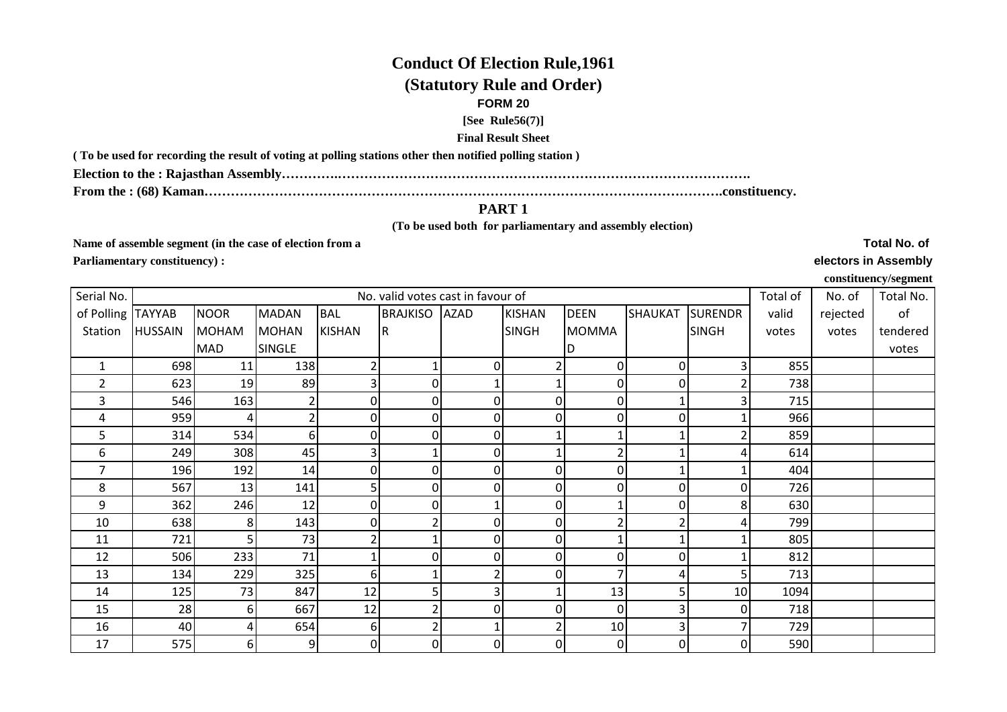## **Conduct Of Election Rule,1961(Statutory Rule and Order)**

## **FORM 20**

**[See Rule56(7)]**

**Final Result Sheet**

**( To be used for recording the result of voting at polling stations other then notified polling station )**

**Election to the : Rajasthan Assembly………….………………………………………………………………………………….**

**From the : (68) Kaman……………………………………………………………………………………………………….constituency.**

## **PART 1**

 **(To be used both for parliamentary and assembly election)** 

**Name of assemble segment (in the case of election from a Parliamentary constituency) :** 

**Total No. of electors in Assembly**

**constituency/segment**

| Serial No.        |                |              |               |                | No. valid votes cast in favour of |              |                |              |          |                | Total of | No. of   | Total No. |
|-------------------|----------------|--------------|---------------|----------------|-----------------------------------|--------------|----------------|--------------|----------|----------------|----------|----------|-----------|
| of Polling TAYYAB |                | <b>NOOR</b>  | <b>MADAN</b>  | <b>BAL</b>     | <b>BRAJKISO AZAD</b>              |              | <b>KISHAN</b>  | <b>DEEN</b>  | SHAUKAT  | <b>SURENDR</b> | valid    | rejected | of        |
| Station           | <b>HUSSAIN</b> | <b>MOHAM</b> | <b>MOHAN</b>  | <b>KISHAN</b>  | R                                 |              | <b>SINGH</b>   | <b>MOMMA</b> |          | <b>SINGH</b>   | votes    | votes    | tendered  |
|                   |                | MAD          | <b>SINGLE</b> |                |                                   |              |                | D            |          |                |          |          | votes     |
| $\mathbf{1}$      | 698            | 11           | 138           |                |                                   | 0            |                | 0            | $\Omega$ | 3              | 855      |          |           |
| $\overline{2}$    | 623            | 19           | 89            | з              | 0                                 |              |                | 0            | 0        |                | 738      |          |           |
| 3                 | 546            | 163          |               | $\overline{0}$ | 0                                 | <sup>n</sup> | $\overline{0}$ | 0            |          | 3              | 715      |          |           |
| 4                 | 959            | 4            |               | $\overline{0}$ | 0                                 | ΩI           | $\overline{0}$ | 0            | U        |                | 966      |          |           |
| 5                 | 314            | 534          | 61            | $\overline{0}$ | 0                                 | ΩI           |                |              |          |                | 859      |          |           |
| 6                 | 249            | 308          | 45            | З              |                                   | 0            |                |              |          |                | 614      |          |           |
| $\overline{7}$    | 196            | 192          | 14            | $\overline{0}$ |                                   | ΩI           | $\overline{0}$ |              |          |                | 404      |          |           |
| 8                 | 567            | 13           | 141           | 5              | 0                                 | <sup>n</sup> | $\overline{0}$ | 0            |          | $\Omega$       | 726      |          |           |
| 9                 | 362            | 246          | 12            | 0              | 0                                 |              | $\overline{0}$ |              |          | 8              | 630      |          |           |
| 10                | 638            | 8            | 143           | $\overline{0}$ | 2                                 | <sup>0</sup> | $\Omega$       |              |          | 4              | 799      |          |           |
| 11                | 721            | 5            | 73            |                |                                   | <sup>0</sup> | $\mathbf 0$    |              |          |                | 805      |          |           |
| 12                | 506            | 233          | 71            |                |                                   |              | $\overline{0}$ |              |          |                | 812      |          |           |
| 13                | 134            | 229          | 325           | 6              |                                   |              | 0              |              |          | 5              | 713      |          |           |
| 14                | 125            | 73           | 847           | 12             |                                   |              |                | 13           |          | 10             | 1094     |          |           |
| 15                | 28             | 6            | 667           | 12             |                                   |              | $\mathbf 0$    | $\Omega$     |          | $\Omega$       | 718      |          |           |
| 16                | 40             |              | 654           | $6 \mid$       |                                   |              | 2              | 10           |          |                | 729      |          |           |
| 17                | 575            | 6            | 9             | $\overline{0}$ | 0                                 | ΩI           | $\overline{0}$ | 0            | 0        | $\overline{0}$ | 590      |          |           |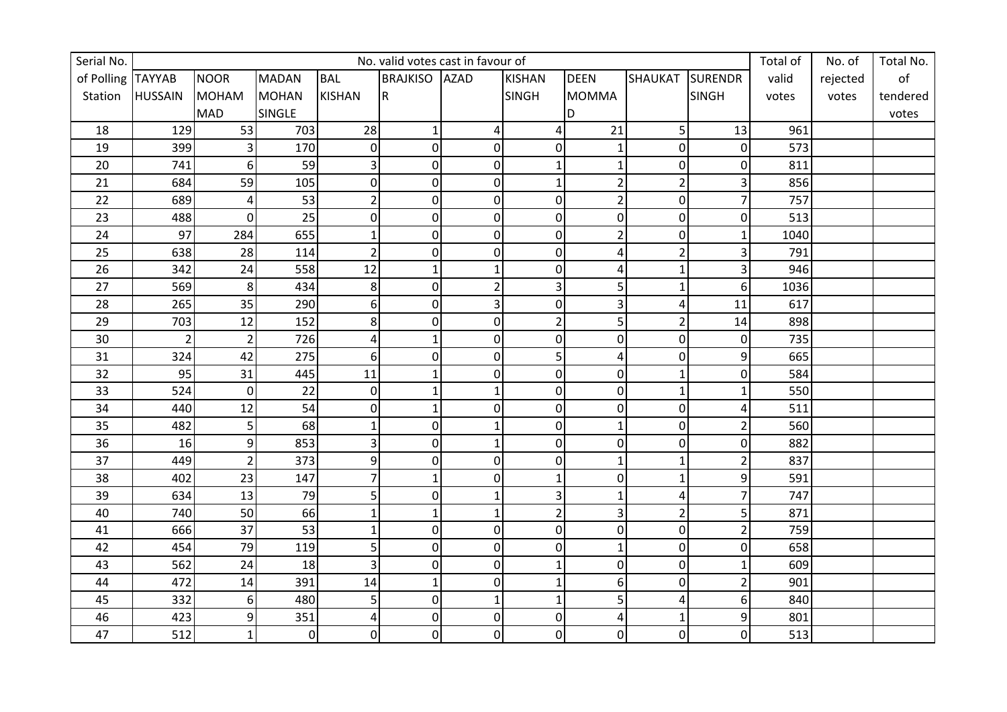| Serial No.        |                |                |                |                  |                         | No. valid votes cast in favour of |                |                |                 |                  | Total of | No. of   | Total No.     |
|-------------------|----------------|----------------|----------------|------------------|-------------------------|-----------------------------------|----------------|----------------|-----------------|------------------|----------|----------|---------------|
| of Polling TAYYAB |                | <b>NOOR</b>    | <b>MADAN</b>   | <b>BAL</b>       | <b>BRAJKISO AZAD</b>    |                                   | <b>KISHAN</b>  | <b>DEEN</b>    | SHAUKAT SURENDR |                  | valid    | rejected | $\mathsf{of}$ |
| Station           | <b>HUSSAIN</b> | <b>MOHAM</b>   | <b>MOHAN</b>   | KISHAN           | $\overline{\mathsf{R}}$ |                                   | <b>SINGH</b>   | <b>MOMMA</b>   |                 | <b>SINGH</b>     | votes    | votes    | tendered      |
|                   |                | <b>MAD</b>     | SINGLE         |                  |                         |                                   |                | D              |                 |                  |          |          | votes         |
| 18                | 129            | 53             | 703            | 28               | $\mathbf{1}$            | 4                                 | $\overline{4}$ | 21             | $\overline{5}$  | 13               | 961      |          |               |
| 19                | 399            | 3              | 170            | $\mathbf 0$      | $\boldsymbol{0}$        | $\Omega$                          | $\overline{0}$ | 1              | $\overline{0}$  | $\boldsymbol{0}$ | 573      |          |               |
| $20\,$            | 741            | 6              | 59             | 3                | 0                       | 0                                 | $\mathbf{1}$   | 1              | $\Omega$        | $\mathbf 0$      | 811      |          |               |
| 21                | 684            | 59             | 105            | $\mathbf 0$      | $\mathbf 0$             | $\Omega$                          | $\mathbf{1}$   | $\overline{2}$ | $\overline{2}$  | 3                | 856      |          |               |
| 22                | 689            | 4              | 53             | $\overline{2}$   | 0                       | $\overline{0}$                    | $\overline{0}$ | $\overline{2}$ | $\overline{0}$  | $\overline{7}$   | 757      |          |               |
| 23                | 488            | $\mathbf 0$    | 25             | $\pmb{0}$        | $\mathbf 0$             | $\mathbf 0$                       | $\overline{0}$ | $\mathbf 0$    | $\overline{0}$  | $\pmb{0}$        | 513      |          |               |
| 24                | 97             | 284            | 655            | $\mathbf{1}$     | $\overline{0}$          | $\overline{0}$                    | $\overline{0}$ | $\overline{2}$ | $\Omega$        | $\mathbf 1$      | 1040     |          |               |
| 25                | 638            | 28             | 114            | $\overline{2}$   | 0                       | $\Omega$                          | $\overline{0}$ | 4              | $\overline{2}$  | 3                | 791      |          |               |
| 26                | 342            | 24             | 558            | 12               | $\mathbf{1}$            |                                   | $\overline{0}$ | 4              | $\mathbf{1}$    | 3                | 946      |          |               |
| 27                | 569            | 8              | 434            | 8                | $\mathbf 0$             | $\overline{2}$                    | $\overline{3}$ | 5              | $\mathbf{1}$    | 6                | 1036     |          |               |
| 28                | 265            | 35             | 290            | 6                | $\overline{0}$          | 3                                 | $\overline{0}$ | 3              | 4               | 11               | 617      |          |               |
| 29                | 703            | 12             | 152            | 8                | 0                       | $\overline{0}$                    | $\overline{2}$ | 5              | $\overline{2}$  | $14\,$           | 898      |          |               |
| 30 <sup>°</sup>   | $\overline{2}$ | $\overline{2}$ | 726            | 4                | $\mathbf{1}$            | $\Omega$                          | $\overline{0}$ | 0              | $\Omega$        | $\pmb{0}$        | 735      |          |               |
| 31                | 324            | 42             | 275            | 6                | 0                       | $\overline{0}$                    | $\overline{5}$ | 4              | $\overline{0}$  | 9                | 665      |          |               |
| 32                | 95             | 31             | 445            | 11               | $\mathbf{1}$            | $\Omega$                          | $\overline{0}$ | $\mathbf 0$    | $\mathbf{1}$    | $\boldsymbol{0}$ | 584      |          |               |
| 33                | 524            | $\mathbf 0$    | 22             | $\mathbf 0$      | $\mathbf{1}$            |                                   | 0              | 0              | $\mathbf{1}$    | $\mathbf 1$      | 550      |          |               |
| 34                | 440            | 12             | 54             | $\boldsymbol{0}$ | $\mathbf{1}$            | $\Omega$                          | $\overline{0}$ | 0              | $\overline{0}$  | $\pmb{4}$        | 511      |          |               |
| 35                | 482            | 5              | 68             | $\mathbf{1}$     | $\overline{0}$          |                                   | $\overline{0}$ | 1              | $\Omega$        | $\overline{2}$   | 560      |          |               |
| 36                | 16             | 9              | 853            | 3                | 0                       |                                   | $\overline{0}$ | $\mathbf 0$    | $\Omega$        | $\mathbf 0$      | 882      |          |               |
| 37                | 449            | $\overline{2}$ | 373            | 9                | $\mathbf 0$             | $\Omega$                          | $\overline{0}$ | 1              | $\mathbf{1}$    | $\overline{2}$   | 837      |          |               |
| 38                | 402            | 23             | 147            | $\overline{7}$   | $\mathbf{1}$            | $\Omega$                          | $\mathbf{1}$   | $\overline{0}$ | 1               | 9                | 591      |          |               |
| 39                | 634            | 13             | 79             | 5                | 0                       |                                   | $\overline{3}$ | 1              | 4               | $\overline{7}$   | 747      |          |               |
| 40                | 740            | 50             | 66             | $\mathbf{1}$     | $\mathbf{1}$            | $\mathbf{1}$                      | $\overline{2}$ | 3              | $\overline{2}$  | 5                | 871      |          |               |
| 41                | 666            | 37             | 53             | 1                | 0                       | 0                                 | 0              | 0              | $\Omega$        | $\overline{2}$   | 759      |          |               |
| 42                | 454            | 79             | 119            | 5                | 0                       | $\Omega$                          | $\overline{0}$ | $\overline{1}$ | $\Omega$        | $\pmb{0}$        | 658      |          |               |
| 43                | 562            | 24             | 18             | 3                | $\overline{0}$          | $\overline{0}$                    | $\mathbf{1}$   | $\mathbf 0$    | $\overline{0}$  | $\mathbf{1}$     | 609      |          |               |
| $44\,$            | 472            | 14             | 391            | 14               | $\mathbf{1}$            | $\mathbf 0$                       | $\mathbf{1}$   | 6              | $\overline{0}$  | $\overline{2}$   | 901      |          |               |
| 45                | 332            | 6              | 480            | 5 <sup>1</sup>   | $\pmb{0}$               |                                   | $\mathbf{1}$   | 5              | 4               | $\boldsymbol{6}$ | 840      |          |               |
| 46                | 423            | 9              | 351            | $\overline{4}$   | $\boldsymbol{0}$        | $\overline{0}$                    | $\overline{0}$ | $\overline{4}$ | $\mathbf{1}$    | 9                | 801      |          |               |
| 47                | 512            | $\mathbf{1}$   | $\overline{0}$ | $\boldsymbol{0}$ | 0                       | $\overline{0}$                    | $\overline{0}$ | $\mathbf 0$    | $\overline{0}$  | $\overline{0}$   | 513      |          |               |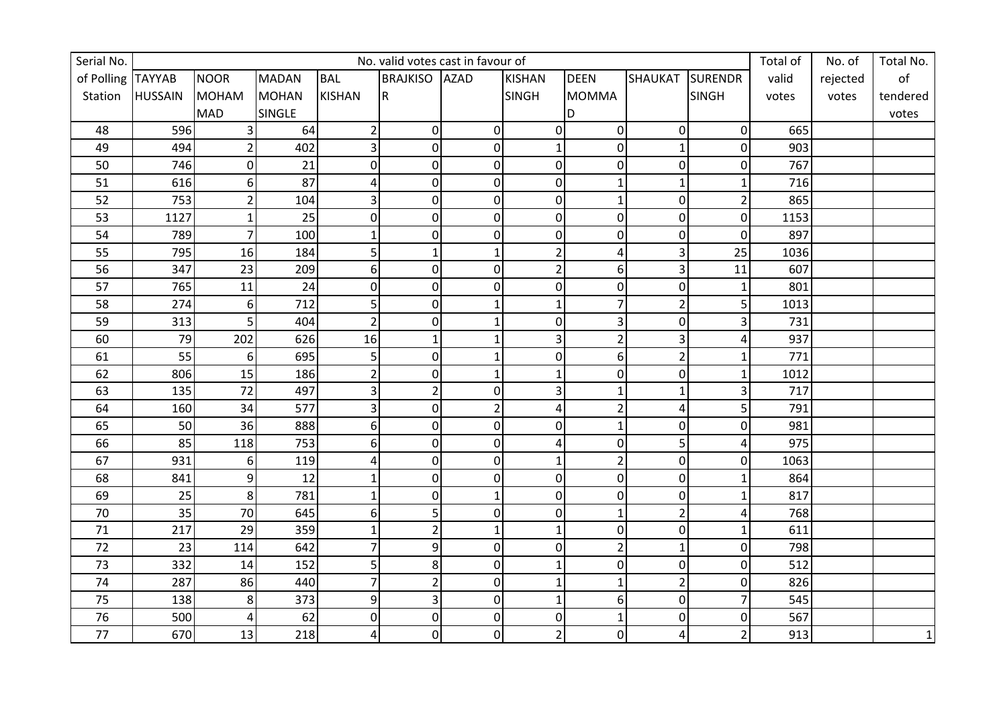| Serial No.        | No. valid votes cast in favour of |                |              |                  |                         |                |                |                |                |                  | Total of | No. of   | Total No.     |
|-------------------|-----------------------------------|----------------|--------------|------------------|-------------------------|----------------|----------------|----------------|----------------|------------------|----------|----------|---------------|
| of Polling TAYYAB |                                   | <b>NOOR</b>    | <b>MADAN</b> | <b>BAL</b>       | <b>BRAJKISO AZAD</b>    |                | <b>KISHAN</b>  | <b>DEEN</b>    | SHAUKAT        | <b>SURENDR</b>   | valid    | rejected | $\mathsf{of}$ |
| Station           | <b>HUSSAIN</b>                    | <b>MOHAM</b>   | <b>MOHAN</b> | KISHAN           | $\overline{\mathsf{R}}$ |                | <b>SINGH</b>   | <b>MOMMA</b>   |                | <b>SINGH</b>     | votes    | votes    | tendered      |
|                   |                                   | <b>MAD</b>     | SINGLE       |                  |                         |                |                | D              |                |                  |          |          | votes         |
| 48                | 596                               | 3              | 64           | $\overline{2}$   | $\pmb{0}$               | $\mathbf 0$    | $\overline{0}$ | $\mathbf 0$    | $\overline{0}$ | $\overline{0}$   | 665      |          |               |
| 49                | 494                               | $\overline{2}$ | 402          | 3                | $\boldsymbol{0}$        | $\mathbf 0$    | $\mathbf{1}$   | 0              | $\mathbf{1}$   | $\boldsymbol{0}$ | 903      |          |               |
| 50                | 746                               | $\overline{0}$ | 21           | $\mathbf 0$      | 0                       | $\overline{0}$ | $\overline{0}$ | 0              | $\overline{0}$ | $\mathbf 0$      | 767      |          |               |
| 51                | 616                               | 6              | 87           | 4                | $\mathbf 0$             | $\Omega$       | $\overline{0}$ | 1              | $\mathbf{1}$   | $\mathbf{1}$     | 716      |          |               |
| 52                | 753                               | $\overline{2}$ | 104          | 3                | 0                       | $\overline{0}$ | $\overline{0}$ | 1              | $\overline{0}$ | $\overline{2}$   | 865      |          |               |
| 53                | 1127                              | $\mathbf{1}$   | 25           | $\pmb{0}$        | $\mathbf 0$             | $\mathbf 0$    | $\overline{0}$ | $\mathbf 0$    | $\overline{0}$ | $\overline{0}$   | 1153     |          |               |
| 54                | 789                               | $\overline{7}$ | 100          | $\mathbf{1}$     | $\mathbf 0$             | $\Omega$       | $\overline{0}$ | $\overline{0}$ | $\Omega$       | $\mathbf 0$      | 897      |          |               |
| 55                | 795                               | 16             | 184          | 5                | $\mathbf 1$             |                | $\overline{2}$ | 4              | 3              | 25               | 1036     |          |               |
| 56                | 347                               | 23             | 209          | 6                | $\mathbf 0$             | $\overline{0}$ | $\overline{2}$ | 6              | 3              | 11               | 607      |          |               |
| 57                | 765                               | 11             | 24           | $\overline{0}$   | $\overline{0}$          | $\Omega$       | $\overline{0}$ | $\overline{0}$ | $\overline{0}$ | $\mathbf{1}$     | 801      |          |               |
| 58                | 274                               | 6              | 712          | 5                | $\overline{0}$          |                | $\mathbf{1}$   | $\overline{7}$ | $\overline{2}$ | 5                | 1013     |          |               |
| 59                | 313                               | 5              | 404          | $\overline{2}$   | $\mathbf 0$             | $\mathbf 1$    | 0              | 3              | $\overline{0}$ | 3                | 731      |          |               |
| 60                | 79                                | 202            | 626          | 16               | $\mathbf{1}$            | $\mathbf{1}$   | $\overline{3}$ | $\overline{2}$ | 3              | 4                | 937      |          |               |
| 61                | 55                                | 6              | 695          | 5                | 0                       |                | $\overline{0}$ | 6              | $\overline{2}$ | $\mathbf{1}$     | 771      |          |               |
| 62                | 806                               | 15             | 186          | $\overline{2}$   | $\overline{0}$          |                | $\mathbf{1}$   | $\mathbf 0$    | $\overline{0}$ | $\mathbf{1}$     | 1012     |          |               |
| 63                | 135                               | 72             | 497          | 3                | $\overline{2}$          | 0              | $\overline{3}$ | 1              | $\mathbf{1}$   | 3                | 717      |          |               |
| 64                | 160                               | 34             | 577          | 3                | $\mathbf 0$             | $\overline{2}$ | $\overline{4}$ | $\overline{2}$ | 4              | 5                | 791      |          |               |
| 65                | 50                                | 36             | 888          | 6                | $\overline{0}$          | $\overline{0}$ | $\overline{0}$ | $\mathbf{1}$   | $\Omega$       | $\mathbf 0$      | 981      |          |               |
| 66                | 85                                | 118            | 753          | $6 \overline{6}$ | 0                       | $\overline{0}$ | 4              | $\mathbf 0$    | 5 <sup>1</sup> | $\overline{4}$   | 975      |          |               |
| 67                | 931                               | 6              | 119          | 4                | $\mathbf 0$             | $\Omega$       | $\mathbf{1}$   | $\overline{2}$ | $\Omega$       | $\mathbf 0$      | 1063     |          |               |
| 68                | 841                               | 9              | 12           | $\mathbf{1}$     | $\mathbf 0$             | $\Omega$       | $\overline{0}$ | $\overline{0}$ | $\overline{0}$ | $\mathbf{1}$     | 864      |          |               |
| 69                | 25                                | 8              | 781          | $\mathbf{1}$     | $\mathbf 0$             |                | $\overline{0}$ | $\overline{0}$ | $\overline{0}$ | $\mathbf{1}$     | 817      |          |               |
| 70                | 35                                | 70             | 645          | 6                | 5                       | $\overline{0}$ | 0              | 1              | $\overline{2}$ | 4                | 768      |          |               |
| 71                | 217                               | 29             | 359          | $\mathbf{1}$     | $\overline{2}$          |                | $\mathbf{1}$   | 0              | $\overline{0}$ | $\mathbf{1}$     | 611      |          |               |
| 72                | 23                                | 114            | 642          | $\overline{7}$   | 9                       | $\Omega$       | $\overline{0}$ | $\overline{c}$ | $\mathbf{1}$   | $\pmb{0}$        | 798      |          |               |
| 73                | 332                               | 14             | 152          | 5                | 8                       | $\overline{0}$ | $\mathbf{1}$   | $\mathbf 0$    | $\overline{0}$ | $\mathbf 0$      | 512      |          |               |
| 74                | 287                               | 86             | 440          | 7                | $\overline{2}$          | $\mathbf 0$    | $\mathbf{1}$   | 1              | $\overline{2}$ | $\overline{0}$   | 826      |          |               |
| 75                | 138                               | 8              | 373          | 9                | 3                       | $\mathbf 0$    | $\mathbf{1}$   | 6              | $\overline{0}$ | $\overline{7}$   | 545      |          |               |
| 76                | 500                               | 4              | 62           | $\mathbf 0$      | $\boldsymbol{0}$        | $\overline{0}$ | $\overline{0}$ | $\mathbf 1$    | $\Omega$       | $\mathbf 0$      | 567      |          |               |
| 77                | 670                               | 13             | 218          | 4                | 0                       | $\overline{0}$ | $2\vert$       | $\mathbf 0$    | 4              | $\overline{2}$   | 913      |          | $\mathbf 1$   |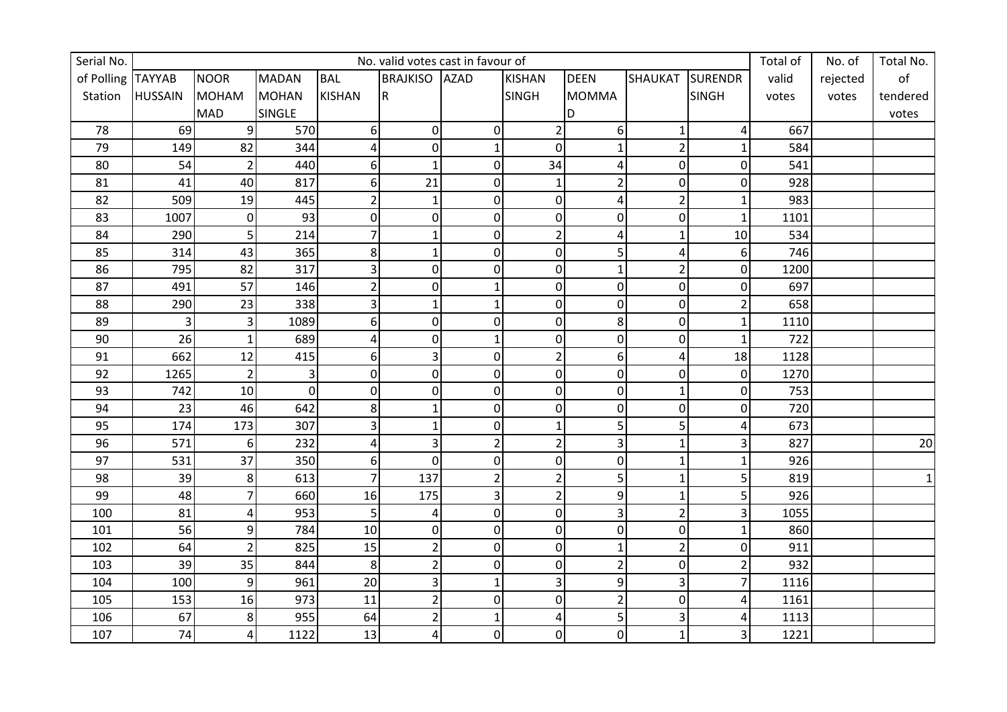| Serial No.        | No. valid votes cast in favour of |                |               |                  |                         |                |                |                |                |                  | Total of | No. of   | Total No.       |
|-------------------|-----------------------------------|----------------|---------------|------------------|-------------------------|----------------|----------------|----------------|----------------|------------------|----------|----------|-----------------|
| of Polling TAYYAB |                                   | <b>NOOR</b>    | <b>MADAN</b>  | <b>BAL</b>       | <b>BRAJKISO AZAD</b>    |                | <b>KISHAN</b>  | <b>DEEN</b>    | SHAUKAT        | <b>SURENDR</b>   | valid    | rejected | $\mathsf{of}$   |
| Station           | <b>HUSSAIN</b>                    | <b>MOHAM</b>   | <b>MOHAN</b>  | KISHAN           | $\overline{\mathsf{R}}$ |                | <b>SINGH</b>   | <b>MOMMA</b>   |                | <b>SINGH</b>     | votes    | votes    | tendered        |
|                   |                                   | <b>MAD</b>     | <b>SINGLE</b> |                  |                         |                |                | D              |                |                  |          |          | votes           |
| 78                | 69                                | 9              | 570           | 6                | $\pmb{0}$               | $\mathbf 0$    | $\overline{2}$ | 6              | $\mathbf{1}$   | 4                | 667      |          |                 |
| 79                | 149                               | 82             | 344           | 4                | $\mathbf 0$             | 1              | $\overline{0}$ | 1              | $\overline{2}$ | $\mathbf{1}$     | 584      |          |                 |
| 80                | 54                                | $\overline{2}$ | 440           | $6 \overline{6}$ | $\mathbf{1}$            | $\overline{0}$ | 34             | 4              | $\overline{0}$ | $\boldsymbol{0}$ | 541      |          |                 |
| 81                | 41                                | 40             | 817           | 6                | 21                      | $\Omega$       | $\mathbf{1}$   | $\overline{2}$ | $\overline{0}$ | $\boldsymbol{0}$ | 928      |          |                 |
| 82                | 509                               | 19             | 445           | $\overline{2}$   | $\mathbf{1}$            | $\mathbf 0$    | $\overline{0}$ | 4              | $\overline{2}$ | $\mathbf{1}$     | 983      |          |                 |
| 83                | 1007                              | $\pmb{0}$      | 93            | $\pmb{0}$        | 0                       | $\mathbf 0$    | $\overline{0}$ | $\mathbf 0$    | $\overline{0}$ | $\mathbf 1$      | 1101     |          |                 |
| 84                | 290                               | 5              | 214           | 7                | $\mathbf{1}$            | $\overline{0}$ | $\overline{2}$ | 4              | 1              | 10               | 534      |          |                 |
| 85                | 314                               | 43             | 365           | 8                | $\mathbf 1$             | 0              | $\overline{0}$ | 5              | 4              | $6 \overline{6}$ | 746      |          |                 |
| 86                | 795                               | 82             | 317           | 3                | $\mathbf 0$             | $\overline{0}$ | $\overline{0}$ | $\mathbf 1$    | $\overline{2}$ | $\mathbf 0$      | 1200     |          |                 |
| 87                | 491                               | 57             | 146           | $\overline{2}$   | $\overline{0}$          |                | $\overline{0}$ | $\overline{0}$ | $\overline{0}$ | $\mathbf 0$      | 697      |          |                 |
| 88                | 290                               | 23             | 338           | 3                | $\mathbf{1}$            |                | $\overline{0}$ | $\mathbf 0$    | $\overline{0}$ | $\overline{2}$   | 658      |          |                 |
| 89                | 3                                 | 3              | 1089          | 6                | 0                       | $\overline{0}$ | 0              | 8              | $\overline{0}$ | $\mathbf{1}$     | 1110     |          |                 |
| 90                | 26                                | $\mathbf{1}$   | 689           | 4                | 0                       | $\mathbf{1}$   | $\overline{0}$ | $\mathbf 0$    | $\overline{0}$ | $\mathbf{1}$     | 722      |          |                 |
| 91                | 662                               | 12             | 415           | 6                | 3                       | $\overline{0}$ | $\overline{2}$ | 6              | 4              | 18               | 1128     |          |                 |
| 92                | 1265                              | $\overline{2}$ | 3             | $\mathbf 0$      | $\overline{0}$          | $\overline{0}$ | $\overline{0}$ | $\mathbf 0$    | $\Omega$       | $\pmb{0}$        | 1270     |          |                 |
| 93                | 742                               | 10             | $\pmb{0}$     | 0                | $\mathbf 0$             | $\mathbf 0$    | 0              | 0              | $\mathbf{1}$   | $\pmb{0}$        | 753      |          |                 |
| 94                | 23                                | 46             | 642           | 8                | $\mathbf{1}$            | $\mathbf 0$    | $\overline{0}$ | $\mathbf 0$    | $\overline{0}$ | $\pmb{0}$        | 720      |          |                 |
| 95                | 174                               | 173            | 307           | 3                | $\mathbf{1}$            | $\Omega$       | $\mathbf{1}$   | 5              | 5              | 4                | 673      |          |                 |
| 96                | 571                               | 6              | 232           | 4                | 3                       | $\overline{2}$ | $\overline{2}$ | 3              | $\mathbf{1}$   | 3                | 827      |          | 20 <sub>2</sub> |
| 97                | 531                               | 37             | 350           | 6                | $\mathbf 0$             | $\Omega$       | $\overline{0}$ | $\mathbf 0$    | $\mathbf{1}$   | $\mathbf{1}$     | 926      |          |                 |
| 98                | 39                                | 8              | 613           | $\overline{7}$   | 137                     | $\overline{2}$ | $\overline{2}$ | 5              | 1              | 5                | 819      |          | $1\vert$        |
| 99                | 48                                | 7              | 660           | 16               | 175                     | 3              | $\overline{2}$ | 9              | $\mathbf{1}$   | 5                | 926      |          |                 |
| 100               | 81                                | 4              | 953           | 5                | 4                       | $\overline{0}$ | $\overline{0}$ | 3              | $\overline{2}$ | 3                | 1055     |          |                 |
| 101               | 56                                | 9              | 784           | 10               | 0                       | 0              | $\overline{0}$ | 0              | $\overline{0}$ | $\mathbf{1}$     | 860      |          |                 |
| 102               | 64                                | $\overline{2}$ | 825           | 15               | $\overline{2}$          | $\Omega$       | $\overline{0}$ | $\overline{1}$ | $\overline{2}$ | $\mathbf 0$      | 911      |          |                 |
| 103               | 39                                | 35             | 844           | 8                | $\overline{2}$          | $\overline{0}$ | $\overline{0}$ | $\overline{2}$ | $\overline{0}$ | $\overline{2}$   | 932      |          |                 |
| 104               | 100                               | 9              | 961           | 20               | 3                       | $1\vert$       | $\overline{3}$ | 9              | $\overline{3}$ | $\overline{7}$   | 1116     |          |                 |
| 105               | 153                               | 16             | 973           | 11               | $\overline{2}$          | $\mathbf 0$    | 0              | $\overline{2}$ | $\overline{0}$ | 4                | 1161     |          |                 |
| 106               | 67                                | 8              | 955           | 64               | $\overline{\mathbf{c}}$ | 1              | $\sqrt{4}$     | 5              | 3              | 4                | 1113     |          |                 |
| 107               | 74                                | $\overline{4}$ | 1122          | 13               | 4                       | $\mathbf 0$    | $\overline{0}$ | $\mathbf 0$    | $\mathbf{1}$   | 3                | 1221     |          |                 |